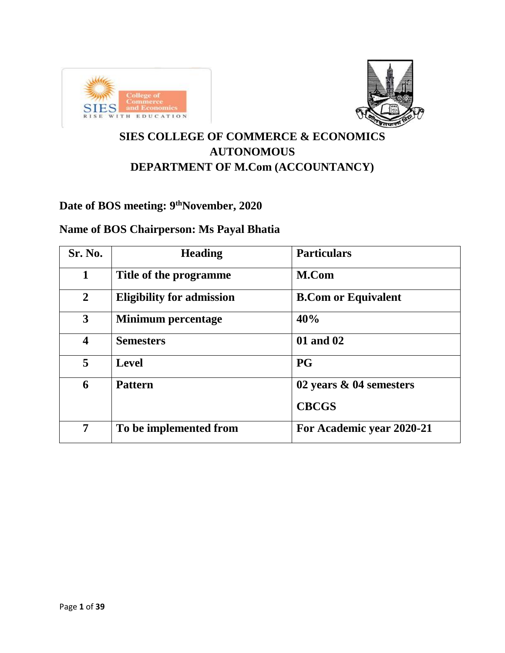



## **SIES COLLEGE OF COMMERCE & ECONOMICS AUTONOMOUS DEPARTMENT OF M.Com (ACCOUNTANCY)**

## **Date of BOS meeting: 9 thNovember, 2020**

## **Name of BOS Chairperson: Ms Payal Bhatia**

| Sr. No.                 | <b>Heading</b>                   | <b>Particulars</b>         |
|-------------------------|----------------------------------|----------------------------|
| $\mathbf{1}$            | Title of the programme           | M.Com                      |
| $\overline{2}$          | <b>Eligibility for admission</b> | <b>B.Com or Equivalent</b> |
| 3                       | <b>Minimum percentage</b>        | 40%                        |
| $\overline{\mathbf{4}}$ | <b>Semesters</b>                 | 01 and 02                  |
| 5                       | <b>Level</b>                     | P G                        |
| 6                       | <b>Pattern</b>                   | 02 years & 04 semesters    |
|                         |                                  | <b>CBCGS</b>               |
| 7                       | To be implemented from           | For Academic year 2020-21  |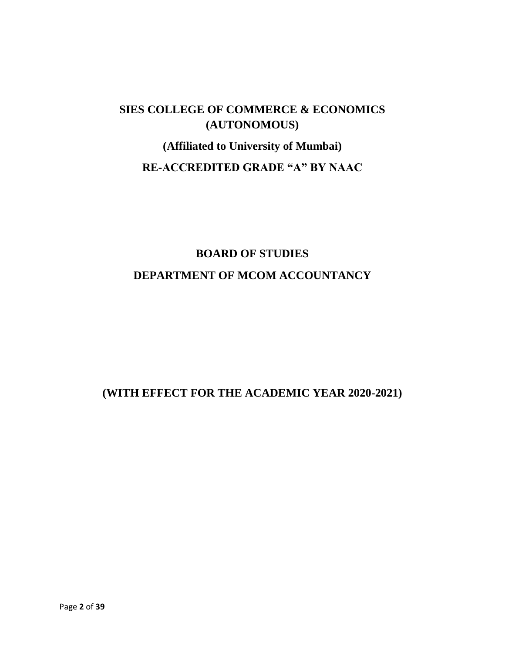## **SIES COLLEGE OF COMMERCE & ECONOMICS (AUTONOMOUS)**

# **(Affiliated to University of Mumbai) RE-ACCREDITED GRADE "A" BY NAAC**

# **BOARD OF STUDIES DEPARTMENT OF MCOM ACCOUNTANCY**

## **(WITH EFFECT FOR THE ACADEMIC YEAR 2020-2021)**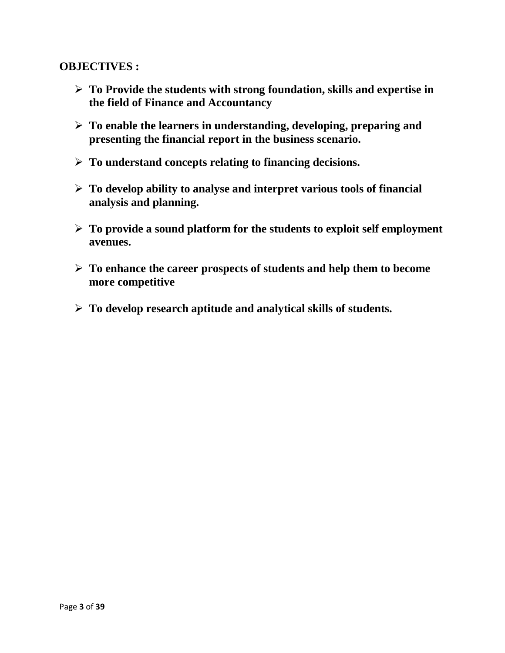#### **OBJECTIVES :**

- ➢ **To Provide the students with strong foundation, skills and expertise in the field of Finance and Accountancy**
- ➢ **To enable the learners in understanding, developing, preparing and presenting the financial report in the business scenario.**
- ➢ **To understand concepts relating to financing decisions.**
- ➢ **To develop ability to analyse and interpret various tools of financial analysis and planning.**
- ➢ **To provide a sound platform for the students to exploit self employment avenues.**
- ➢ **To enhance the career prospects of students and help them to become more competitive**
- ➢ **To develop research aptitude and analytical skills of students.**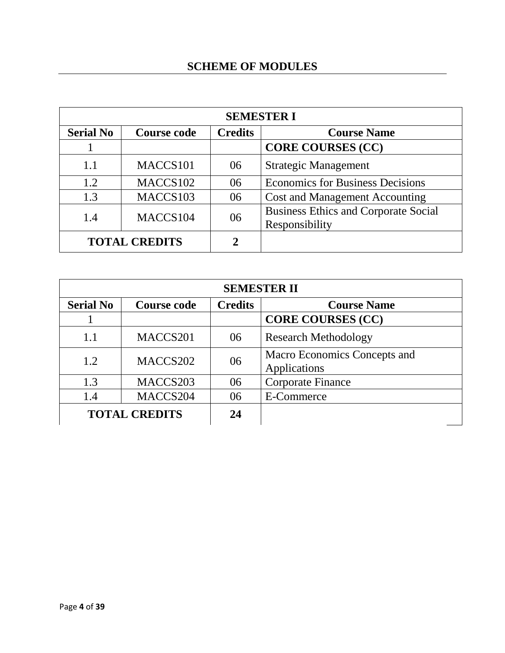| <b>SEMESTER I</b> |                      |                                               |                                                               |  |  |
|-------------------|----------------------|-----------------------------------------------|---------------------------------------------------------------|--|--|
| <b>Serial No</b>  | <b>Course code</b>   | <b>Credits</b>                                | <b>Course Name</b>                                            |  |  |
|                   |                      | <b>CORE COURSES (CC)</b>                      |                                                               |  |  |
| 1.1               | MACCS101             | <b>Strategic Management</b><br>06             |                                                               |  |  |
| 1.2               | MACCS102             | <b>Economics for Business Decisions</b><br>06 |                                                               |  |  |
| 1.3               | MACCS103             | 06                                            | <b>Cost and Management Accounting</b>                         |  |  |
| MACCS104<br>1.4   |                      | 06                                            | <b>Business Ethics and Corporate Social</b><br>Responsibility |  |  |
|                   | <b>TOTAL CREDITS</b> | $\mathbf 2$                                   |                                                               |  |  |

| <b>SEMESTER II</b>                     |                      |                |                                              |  |  |
|----------------------------------------|----------------------|----------------|----------------------------------------------|--|--|
| <b>Serial No</b><br><b>Course code</b> |                      | <b>Credits</b> | <b>Course Name</b>                           |  |  |
|                                        |                      |                | <b>CORE COURSES (CC)</b>                     |  |  |
| 1.1                                    | MACCS201             | 06             | <b>Research Methodology</b>                  |  |  |
| 1.2                                    | MACCS202             | 06             | Macro Economics Concepts and<br>Applications |  |  |
| 1.3                                    | MACCS203             | 06             | <b>Corporate Finance</b>                     |  |  |
| 1.4                                    | MACCS204             | 06             | E-Commerce                                   |  |  |
|                                        | <b>TOTAL CREDITS</b> | 24             |                                              |  |  |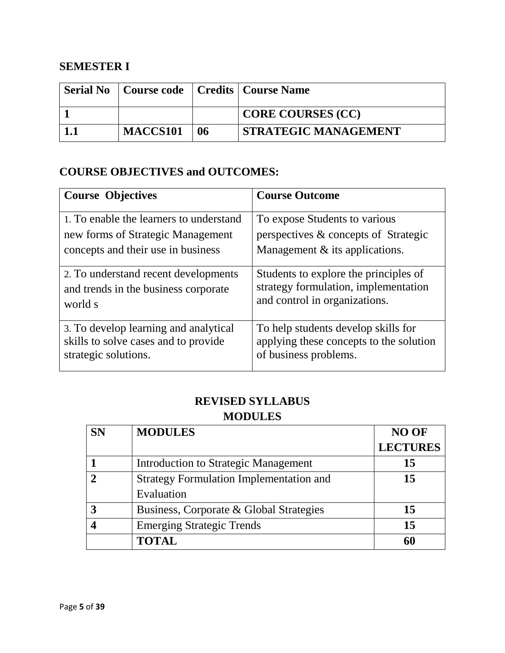### **SEMESTER I**

|          |    | <b>Serial No</b>   Course code   Credits   Course Name |
|----------|----|--------------------------------------------------------|
|          |    | CORE COURSES (CC)                                      |
| MACCS101 | 06 | <b>STRATEGIC MANAGEMENT</b>                            |

#### **COURSE OBJECTIVES and OUTCOMES:**

| <b>Course Objectives</b>                | <b>Course Outcome</b>                   |
|-----------------------------------------|-----------------------------------------|
| 1. To enable the learners to understand | To expose Students to various           |
| new forms of Strategic Management       | perspectives & concepts of Strategic    |
| concepts and their use in business      | Management $&$ its applications.        |
| 2. To understand recent developments    | Students to explore the principles of   |
| and trends in the business corporate    | strategy formulation, implementation    |
| world s                                 | and control in organizations.           |
| 3. To develop learning and analytical   | To help students develop skills for     |
| skills to solve cases and to provide    | applying these concepts to the solution |
| strategic solutions.                    | of business problems.                   |

| <b>SN</b> | <b>MODULES</b>                                 | <b>NO OF</b>    |
|-----------|------------------------------------------------|-----------------|
|           |                                                | <b>LECTURES</b> |
|           | Introduction to Strategic Management           | 15              |
|           | <b>Strategy Formulation Implementation and</b> | 15              |
|           | Evaluation                                     |                 |
|           | Business, Corporate & Global Strategies        | 15              |
|           | <b>Emerging Strategic Trends</b>               | 15              |
|           | <b>TOTAL</b>                                   |                 |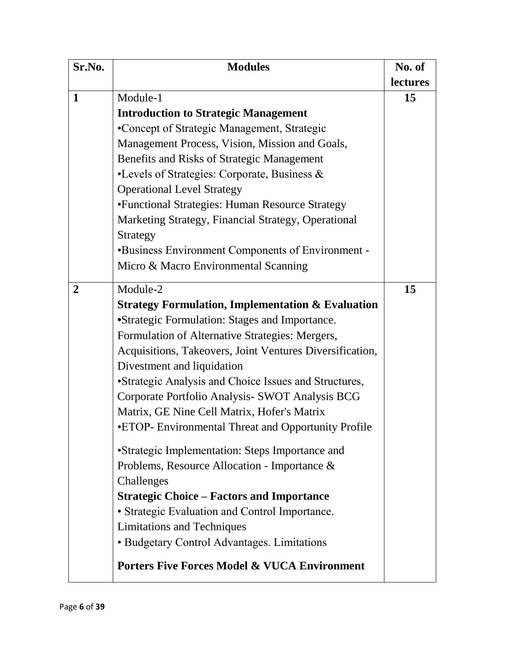| Sr.No.         | <b>Modules</b>                                               | No. of          |
|----------------|--------------------------------------------------------------|-----------------|
|                |                                                              | <b>lectures</b> |
| $\mathbf{1}$   | Module-1                                                     | 15              |
|                | <b>Introduction to Strategic Management</b>                  |                 |
|                | •Concept of Strategic Management, Strategic                  |                 |
|                | Management Process, Vision, Mission and Goals,               |                 |
|                | Benefits and Risks of Strategic Management                   |                 |
|                | •Levels of Strategies: Corporate, Business &                 |                 |
|                | <b>Operational Level Strategy</b>                            |                 |
|                | •Functional Strategies: Human Resource Strategy              |                 |
|                | Marketing Strategy, Financial Strategy, Operational          |                 |
|                | Strategy                                                     |                 |
|                | •Business Environment Components of Environment -            |                 |
|                | Micro & Macro Environmental Scanning                         |                 |
| $\overline{2}$ | Module-2                                                     | 15              |
|                | <b>Strategy Formulation, Implementation &amp; Evaluation</b> |                 |
|                | •Strategic Formulation: Stages and Importance.               |                 |
|                | Formulation of Alternative Strategies: Mergers,              |                 |
|                | Acquisitions, Takeovers, Joint Ventures Diversification,     |                 |
|                | Divestment and liquidation                                   |                 |
|                | • Strategic Analysis and Choice Issues and Structures,       |                 |
|                | Corporate Portfolio Analysis- SWOT Analysis BCG              |                 |
|                | Matrix, GE Nine Cell Matrix, Hofer's Matrix                  |                 |
|                | •ETOP- Environmental Threat and Opportunity Profile          |                 |
|                | • Strategic Implementation: Steps Importance and             |                 |
|                | Problems, Resource Allocation - Importance &                 |                 |
|                | Challenges                                                   |                 |
|                | <b>Strategic Choice – Factors and Importance</b>             |                 |
|                | • Strategic Evaluation and Control Importance.               |                 |
|                | <b>Limitations and Techniques</b>                            |                 |
|                | • Budgetary Control Advantages. Limitations                  |                 |
|                | <b>Porters Five Forces Model &amp; VUCA Environment</b>      |                 |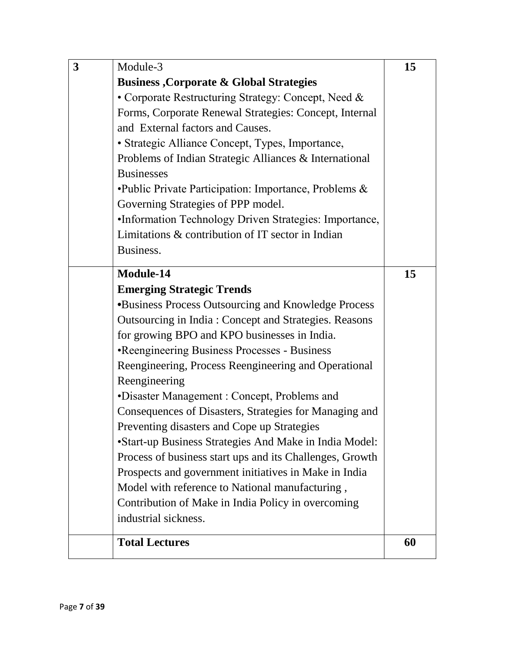| 3 | Module-3                                                   | 15 |
|---|------------------------------------------------------------|----|
|   | <b>Business , Corporate &amp; Global Strategies</b>        |    |
|   | • Corporate Restructuring Strategy: Concept, Need &        |    |
|   | Forms, Corporate Renewal Strategies: Concept, Internal     |    |
|   | and External factors and Causes.                           |    |
|   | • Strategic Alliance Concept, Types, Importance,           |    |
|   | Problems of Indian Strategic Alliances & International     |    |
|   | <b>Businesses</b>                                          |    |
|   | •Public Private Participation: Importance, Problems &      |    |
|   | Governing Strategies of PPP model.                         |    |
|   | •Information Technology Driven Strategies: Importance,     |    |
|   | Limitations & contribution of IT sector in Indian          |    |
|   | Business.                                                  |    |
|   | Module-14                                                  | 15 |
|   | <b>Emerging Strategic Trends</b>                           |    |
|   | <b>•Business Process Outsourcing and Knowledge Process</b> |    |
|   | Outsourcing in India: Concept and Strategies. Reasons      |    |
|   | for growing BPO and KPO businesses in India.               |    |
|   | •Reengineering Business Processes - Business               |    |
|   | Reengineering, Process Reengineering and Operational       |    |
|   | Reengineering                                              |    |
|   | •Disaster Management : Concept, Problems and               |    |
|   | Consequences of Disasters, Strategies for Managing and     |    |
|   | Preventing disasters and Cope up Strategies                |    |
|   | • Start-up Business Strategies And Make in India Model:    |    |
|   | Process of business start ups and its Challenges, Growth   |    |
|   | Prospects and government initiatives in Make in India      |    |
|   | Model with reference to National manufacturing,            |    |
|   | Contribution of Make in India Policy in overcoming         |    |
|   | industrial sickness.                                       |    |
|   | <b>Total Lectures</b>                                      | 60 |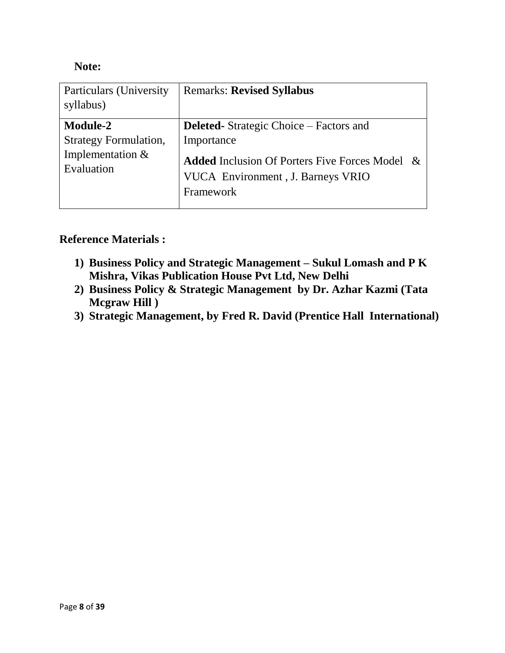#### **Note:**

| Particulars (University<br>syllabus)                                                | <b>Remarks: Revised Syllabus</b>                                                                                                                                            |
|-------------------------------------------------------------------------------------|-----------------------------------------------------------------------------------------------------------------------------------------------------------------------------|
| <b>Module-2</b><br><b>Strategy Formulation,</b><br>Implementation $&$<br>Evaluation | <b>Deleted-</b> Strategic Choice – Factors and<br>Importance<br><b>Added Inclusion Of Porters Five Forces Model &amp;</b><br>VUCA Environment, J. Barneys VRIO<br>Framework |

#### **Reference Materials :**

- **1) Business Policy and Strategic Management – Sukul Lomash and P K Mishra, Vikas Publication House Pvt Ltd, New Delhi**
- **2) Business Policy & Strategic Management by Dr. Azhar Kazmi (Tata Mcgraw Hill )**
- **3) Strategic Management, by Fred R. David (Prentice Hall International)**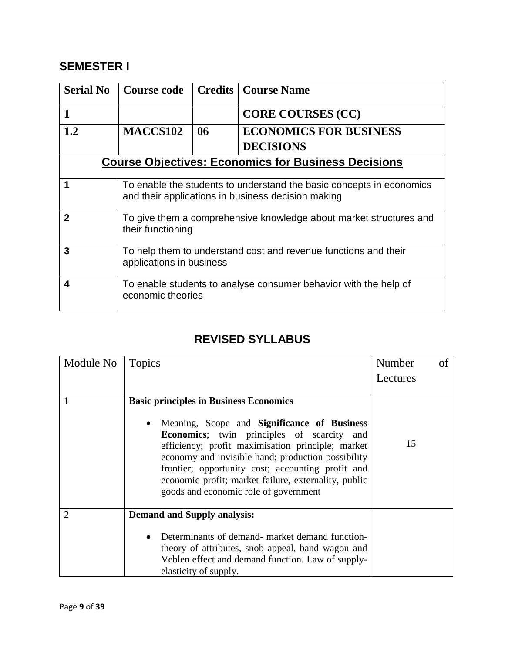## **SEMESTER I**

| <b>Serial No</b> | Course code                                                                                                                | <b>Credits</b> | <b>Course Name</b>                                               |
|------------------|----------------------------------------------------------------------------------------------------------------------------|----------------|------------------------------------------------------------------|
| 1                |                                                                                                                            |                | <b>CORE COURSES (CC)</b>                                         |
| 1.2              | MACCS102                                                                                                                   | 06             | <b>ECONOMICS FOR BUSINESS</b>                                    |
|                  |                                                                                                                            |                | <b>DECISIONS</b>                                                 |
|                  |                                                                                                                            |                | <b>Course Objectives: Economics for Business Decisions</b>       |
|                  | To enable the students to understand the basic concepts in economics<br>and their applications in business decision making |                |                                                                  |
| $\mathbf 2$      | To give them a comprehensive knowledge about market structures and<br>their functioning                                    |                |                                                                  |
| 3                | To help them to understand cost and revenue functions and their<br>applications in business                                |                |                                                                  |
| 4                | economic theories                                                                                                          |                | To enable students to analyse consumer behavior with the help of |

# **REVISED SYLLABUS**

| Module No      | Topics                                                                                                                                                                                                                                                                                                                                                                    | Number   | of |
|----------------|---------------------------------------------------------------------------------------------------------------------------------------------------------------------------------------------------------------------------------------------------------------------------------------------------------------------------------------------------------------------------|----------|----|
|                |                                                                                                                                                                                                                                                                                                                                                                           | Lectures |    |
|                | <b>Basic principles in Business Economics</b>                                                                                                                                                                                                                                                                                                                             |          |    |
|                | Meaning, Scope and <b>Significance of Business</b><br><b>Economics</b> ; twin principles of scarcity and<br>efficiency; profit maximisation principle; market<br>economy and invisible hand; production possibility<br>frontier; opportunity cost; accounting profit and<br>economic profit; market failure, externality, public<br>goods and economic role of government | 15       |    |
| $\overline{2}$ | <b>Demand and Supply analysis:</b>                                                                                                                                                                                                                                                                                                                                        |          |    |
|                | Determinants of demand- market demand function-<br>theory of attributes, snob appeal, band wagon and<br>Veblen effect and demand function. Law of supply-<br>elasticity of supply.                                                                                                                                                                                        |          |    |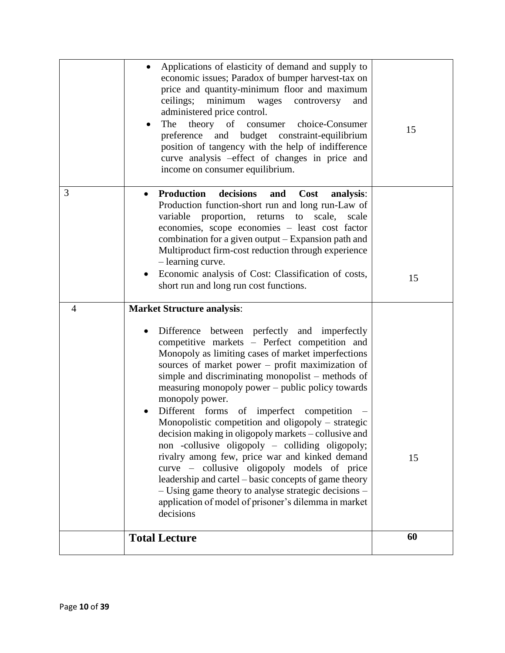|                | Applications of elasticity of demand and supply to<br>economic issues; Paradox of bumper harvest-tax on<br>price and quantity-minimum floor and maximum<br>minimum wages controversy<br>ceilings;<br>and<br>administered price control.<br>theory of consumer<br>The<br>choice-Consumer<br>$\bullet$<br>preference and budget constraint-equilibrium<br>position of tangency with the help of indifference<br>curve analysis -effect of changes in price and<br>income on consumer equilibrium.                                                                                                                                                                                                                                                                                                                                                                              | 15 |
|----------------|------------------------------------------------------------------------------------------------------------------------------------------------------------------------------------------------------------------------------------------------------------------------------------------------------------------------------------------------------------------------------------------------------------------------------------------------------------------------------------------------------------------------------------------------------------------------------------------------------------------------------------------------------------------------------------------------------------------------------------------------------------------------------------------------------------------------------------------------------------------------------|----|
| 3              | <b>Production</b><br>decisions<br>Cost<br>and<br>analysis:<br>$\bullet$<br>Production function-short run and long run-Law of<br>variable<br>proportion, returns<br>to scale,<br>scale<br>economies, scope economies - least cost factor<br>combination for a given output - Expansion path and<br>Multiproduct firm-cost reduction through experience<br>- learning curve.<br>Economic analysis of Cost: Classification of costs,<br>short run and long run cost functions.                                                                                                                                                                                                                                                                                                                                                                                                  | 15 |
| $\overline{4}$ | <b>Market Structure analysis:</b><br>Difference between perfectly and imperfectly<br>competitive markets - Perfect competition and<br>Monopoly as limiting cases of market imperfections<br>sources of market power - profit maximization of<br>simple and discriminating monopolist – methods of<br>measuring monopoly power – public policy towards<br>monopoly power.<br>Different forms of imperfect competition<br>Monopolistic competition and oligopoly - strategic<br>decision making in oligopoly markets – collusive and<br>non -collusive oligopoly – colliding oligopoly;<br>rivalry among few, price war and kinked demand<br>curve – collusive oligopoly models of price<br>leadership and cartel – basic concepts of game theory<br>- Using game theory to analyse strategic decisions -<br>application of model of prisoner's dilemma in market<br>decisions | 15 |
|                | <b>Total Lecture</b>                                                                                                                                                                                                                                                                                                                                                                                                                                                                                                                                                                                                                                                                                                                                                                                                                                                         | 60 |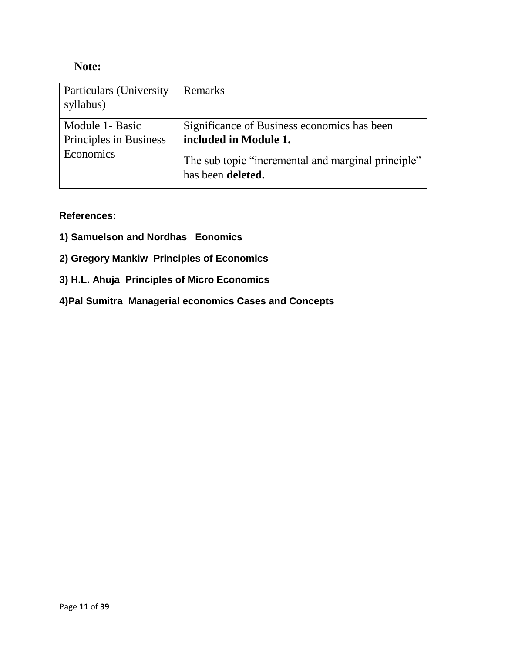## **Note:**

| Particulars (University<br>syllabus)                   | Remarks                                                                                                                                         |
|--------------------------------------------------------|-------------------------------------------------------------------------------------------------------------------------------------------------|
| Module 1- Basic<br>Principles in Business<br>Economics | Significance of Business economics has been<br>included in Module 1.<br>The sub topic "incremental and marginal principle"<br>has been deleted. |

#### **References:**

- **1) Samuelson and Nordhas Eonomics**
- **2) Gregory Mankiw Principles of Economics**
- **3) H.L. Ahuja Principles of Micro Economics**
- **4)Pal Sumitra Managerial economics Cases and Concepts**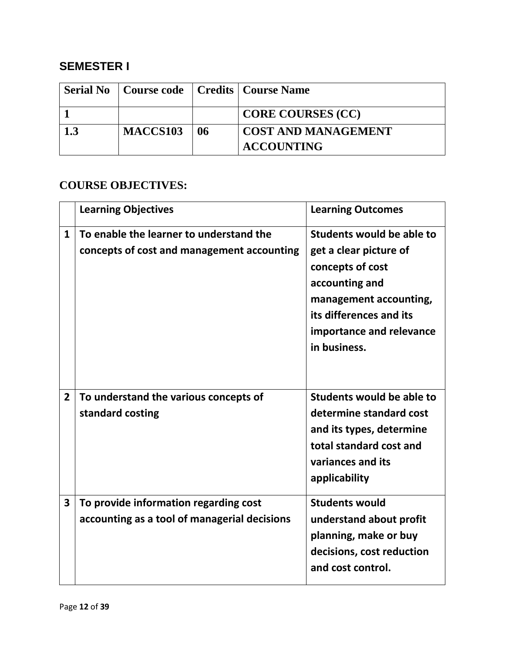## **SEMESTER I**

|     |          |    | <b>Serial No</b>   Course code   Credits   Course Name |
|-----|----------|----|--------------------------------------------------------|
|     |          |    | <b>CORE COURSES (CC)</b>                               |
| 1.3 | MACCS103 | 06 | <b>COST AND MANAGEMENT</b><br><b>ACCOUNTING</b>        |

#### **COURSE OBJECTIVES:**

|                | <b>Learning Objectives</b>                                                            | <b>Learning Outcomes</b>                                                                                                                                                                   |
|----------------|---------------------------------------------------------------------------------------|--------------------------------------------------------------------------------------------------------------------------------------------------------------------------------------------|
| $\mathbf{1}$   | To enable the learner to understand the<br>concepts of cost and management accounting | Students would be able to<br>get a clear picture of<br>concepts of cost<br>accounting and<br>management accounting,<br>its differences and its<br>importance and relevance<br>in business. |
| $\overline{2}$ | To understand the various concepts of<br>standard costing                             | Students would be able to<br>determine standard cost<br>and its types, determine<br>total standard cost and<br>variances and its<br>applicability                                          |
| 3              | To provide information regarding cost<br>accounting as a tool of managerial decisions | <b>Students would</b><br>understand about profit<br>planning, make or buy<br>decisions, cost reduction<br>and cost control.                                                                |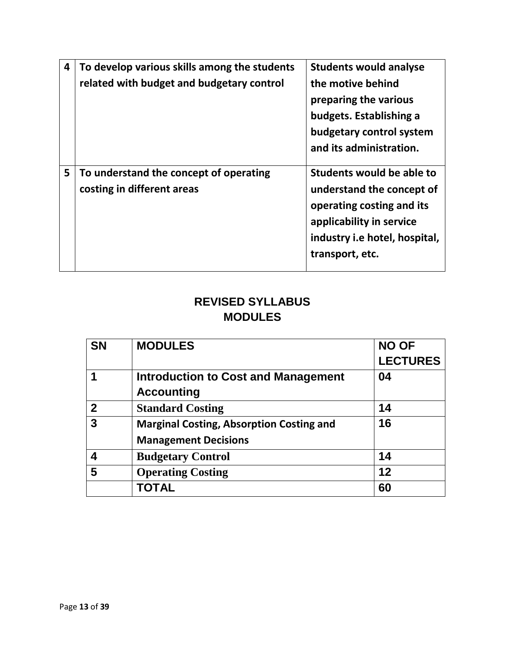| $\overline{\mathbf{4}}$ | To develop various skills among the students<br>related with budget and budgetary control | <b>Students would analyse</b><br>the motive behind<br>preparing the various<br>budgets. Establishing a<br>budgetary control system<br>and its administration.       |
|-------------------------|-------------------------------------------------------------------------------------------|---------------------------------------------------------------------------------------------------------------------------------------------------------------------|
| 5                       | To understand the concept of operating<br>costing in different areas                      | Students would be able to<br>understand the concept of<br>operating costing and its<br>applicability in service<br>industry i.e hotel, hospital,<br>transport, etc. |

| <b>SN</b>   | <b>MODULES</b>                                                                 | <b>NO OF</b>    |
|-------------|--------------------------------------------------------------------------------|-----------------|
|             |                                                                                | <b>LECTURES</b> |
|             | <b>Introduction to Cost and Management</b><br><b>Accounting</b>                | 04              |
| $\mathbf 2$ | <b>Standard Costing</b>                                                        | 14              |
| 3           | <b>Marginal Costing, Absorption Costing and</b><br><b>Management Decisions</b> | 16              |
|             | <b>Budgetary Control</b>                                                       | 14              |
| 5           | <b>Operating Costing</b>                                                       | 12              |
|             | TOTAL                                                                          | 60              |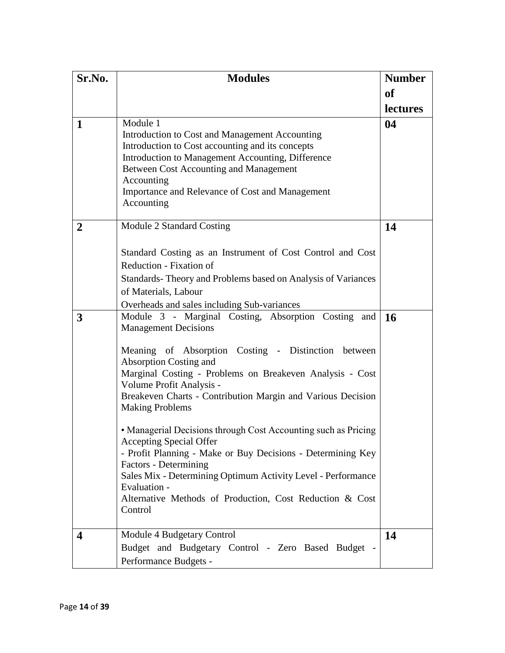| Sr.No.         | <b>Modules</b>                                                                                                                                                                                                                                                                                                                                                                                                                                                                                                                                                                                                                                                                                          |                 |
|----------------|---------------------------------------------------------------------------------------------------------------------------------------------------------------------------------------------------------------------------------------------------------------------------------------------------------------------------------------------------------------------------------------------------------------------------------------------------------------------------------------------------------------------------------------------------------------------------------------------------------------------------------------------------------------------------------------------------------|-----------------|
|                |                                                                                                                                                                                                                                                                                                                                                                                                                                                                                                                                                                                                                                                                                                         | of              |
|                |                                                                                                                                                                                                                                                                                                                                                                                                                                                                                                                                                                                                                                                                                                         | <b>lectures</b> |
| $\mathbf 1$    | Module 1<br>Introduction to Cost and Management Accounting<br>Introduction to Cost accounting and its concepts<br>Introduction to Management Accounting, Difference<br>Between Cost Accounting and Management<br>Accounting<br>Importance and Relevance of Cost and Management<br>Accounting                                                                                                                                                                                                                                                                                                                                                                                                            | 04              |
| $\overline{2}$ | Module 2 Standard Costing<br>Standard Costing as an Instrument of Cost Control and Cost<br>Reduction - Fixation of<br>Standards-Theory and Problems based on Analysis of Variances<br>of Materials, Labour<br>Overheads and sales including Sub-variances                                                                                                                                                                                                                                                                                                                                                                                                                                               | 14              |
| 3              | Module 3 - Marginal Costing, Absorption Costing and<br><b>Management Decisions</b><br>Meaning of Absorption Costing - Distinction between<br>Absorption Costing and<br>Marginal Costing - Problems on Breakeven Analysis - Cost<br>Volume Profit Analysis -<br>Breakeven Charts - Contribution Margin and Various Decision<br><b>Making Problems</b><br>• Managerial Decisions through Cost Accounting such as Pricing<br><b>Accepting Special Offer</b><br>- Profit Planning - Make or Buy Decisions - Determining Key<br>Factors - Determining<br>Sales Mix - Determining Optimum Activity Level - Performance<br>Evaluation -<br>Alternative Methods of Production, Cost Reduction & Cost<br>Control | 16              |
| 4              | Module 4 Budgetary Control<br>Budget and Budgetary Control - Zero Based Budget -<br>Performance Budgets -                                                                                                                                                                                                                                                                                                                                                                                                                                                                                                                                                                                               | 14              |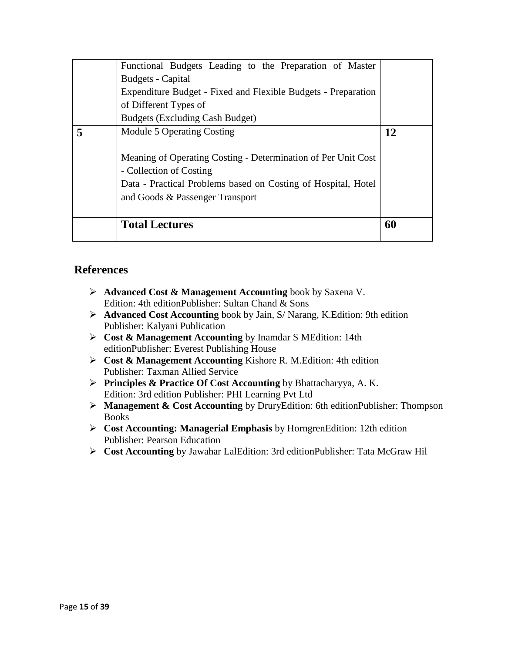| Functional Budgets Leading to the Preparation of Master       |    |
|---------------------------------------------------------------|----|
| Budgets - Capital                                             |    |
| Expenditure Budget - Fixed and Flexible Budgets - Preparation |    |
| of Different Types of                                         |    |
| <b>Budgets (Excluding Cash Budget)</b>                        |    |
| Module 5 Operating Costing                                    | 12 |
|                                                               |    |
| Meaning of Operating Costing - Determination of Per Unit Cost |    |
| - Collection of Costing                                       |    |
| Data - Practical Problems based on Costing of Hospital, Hotel |    |
| and Goods & Passenger Transport                               |    |
|                                                               |    |
| <b>Total Lectures</b>                                         | 60 |
|                                                               |    |

#### **References**

- ➢ **Advanced Cost & Management Accounting** book by Saxena V. Edition: 4th editionPublisher: Sultan [Chand](https://sultan-chand.com/) & Sons
- ➢ **Advanced Cost Accounting** book by Jain, S/ Narang, K.Edition: 9th edition Publisher: Kalyani Publication
- ➢ **Cost & Management Accounting** by Inamdar S MEdition: 14th editionPublisher: Everest [Publishing](https://www.everestpublishinghouse.com/) House
- ➢ **Cost & Management Accounting** Kishore R. M.Edition: 4th edition Publisher: Taxman Allied Service
- ➢ **Principles & Practice Of Cost Accounting** by Bhattacharyya, A. K. Edition: 3rd edition Publisher: PHI Learning Pvt Ltd
- ➢ **Management & Cost Accounting** by DruryEdition: 6th editionPublisher: Thompson Books
- ➢ **Cost Accounting: Managerial Emphasis** by HorngrenEdition: 12th edition Publisher: Pearson Education
- ➢ **Cost Accounting** by Jawahar LalEdition: 3rd editionPublisher: Tata McGraw Hil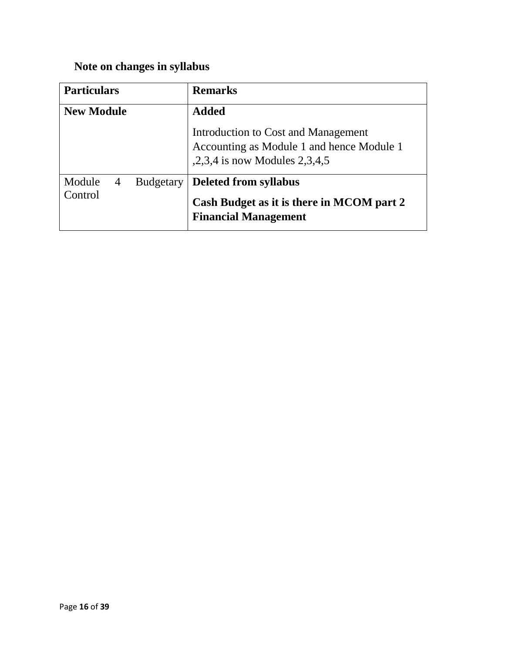# **Note on changes in syllabus**

| <b>Particulars</b>     |                  | <b>Remarks</b>                                                                                                      |
|------------------------|------------------|---------------------------------------------------------------------------------------------------------------------|
| <b>New Module</b>      |                  | <b>Added</b>                                                                                                        |
|                        |                  | Introduction to Cost and Management<br>Accounting as Module 1 and hence Module 1<br>,2,3,4 is now Modules $2,3,4,5$ |
| Module<br>4<br>Control | <b>Budgetary</b> | <b>Deleted from syllabus</b><br>Cash Budget as it is there in MCOM part 2<br><b>Financial Management</b>            |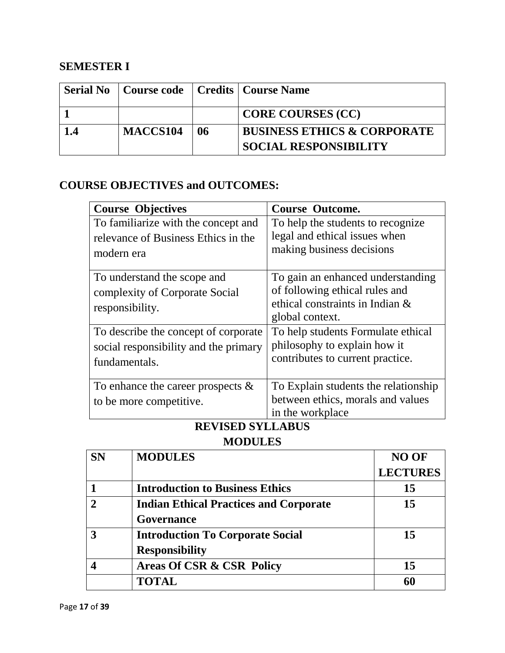## **SEMESTER I**

| <b>Serial No</b> |          |    | Course code   Credits   Course Name                                    |
|------------------|----------|----|------------------------------------------------------------------------|
|                  |          |    | <b>CORE COURSES (CC)</b>                                               |
| 1.4              | MACCS104 | 06 | <b>BUSINESS ETHICS &amp; CORPORATE</b><br><b>SOCIAL RESPONSIBILITY</b> |

#### **COURSE OBJECTIVES and OUTCOMES:**

| <b>Course Objectives</b>              | <b>Course Outcome.</b>               |
|---------------------------------------|--------------------------------------|
| To familiarize with the concept and   | To help the students to recognize    |
| relevance of Business Ethics in the   | legal and ethical issues when        |
| modern era                            | making business decisions            |
|                                       |                                      |
| To understand the scope and           | To gain an enhanced understanding    |
| complexity of Corporate Social        | of following ethical rules and       |
| responsibility.                       | ethical constraints in Indian &      |
|                                       | global context.                      |
| To describe the concept of corporate  | To help students Formulate ethical   |
| social responsibility and the primary | philosophy to explain how it         |
| fundamentals.                         | contributes to current practice.     |
|                                       |                                      |
| To enhance the career prospects $\&$  | To Explain students the relationship |
| to be more competitive.               | between ethics, morals and values    |
|                                       | in the workplace                     |

| <b>SN</b> | <b>MODULES</b>                                | <b>NO OF</b>    |
|-----------|-----------------------------------------------|-----------------|
|           |                                               | <b>LECTURES</b> |
|           | <b>Introduction to Business Ethics</b>        | 15              |
|           | <b>Indian Ethical Practices and Corporate</b> | 15              |
|           | Governance                                    |                 |
|           | <b>Introduction To Corporate Social</b>       | 15              |
|           | <b>Responsibility</b>                         |                 |
|           | Areas Of CSR & CSR Policy                     | 15              |
|           | <b>TOTAL</b>                                  | 60              |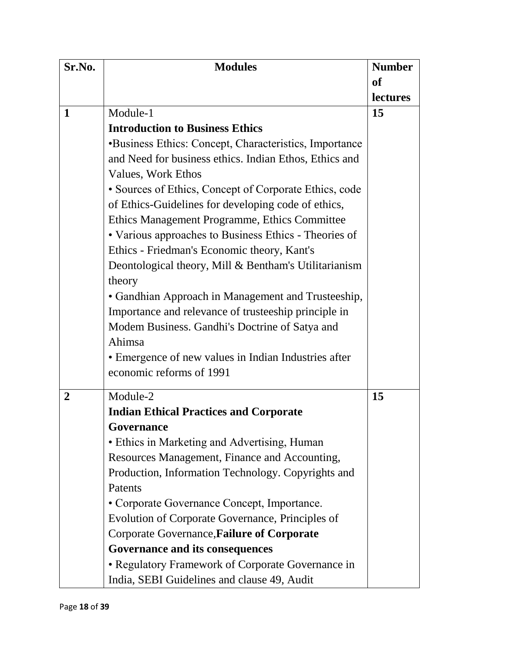| Sr.No.         | <b>Modules</b>                                         | <b>Number</b> |
|----------------|--------------------------------------------------------|---------------|
|                |                                                        | of            |
|                |                                                        | lectures      |
| 1              | Module-1                                               | 15            |
|                | <b>Introduction to Business Ethics</b>                 |               |
|                | •Business Ethics: Concept, Characteristics, Importance |               |
|                | and Need for business ethics. Indian Ethos, Ethics and |               |
|                | <b>Values, Work Ethos</b>                              |               |
|                | • Sources of Ethics, Concept of Corporate Ethics, code |               |
|                | of Ethics-Guidelines for developing code of ethics,    |               |
|                | Ethics Management Programme, Ethics Committee          |               |
|                | • Various approaches to Business Ethics - Theories of  |               |
|                | Ethics - Friedman's Economic theory, Kant's            |               |
|                | Deontological theory, Mill & Bentham's Utilitarianism  |               |
|                | theory                                                 |               |
|                | • Gandhian Approach in Management and Trusteeship,     |               |
|                | Importance and relevance of trusteeship principle in   |               |
|                | Modem Business. Gandhi's Doctrine of Satya and         |               |
|                | Ahimsa                                                 |               |
|                | • Emergence of new values in Indian Industries after   |               |
|                | economic reforms of 1991                               |               |
| $\overline{2}$ | Module-2                                               | 15            |
|                | <b>Indian Ethical Practices and Corporate</b>          |               |
|                | Governance                                             |               |
|                | • Ethics in Marketing and Advertising, Human           |               |
|                | Resources Management, Finance and Accounting,          |               |
|                | Production, Information Technology. Copyrights and     |               |
|                | Patents                                                |               |
|                | • Corporate Governance Concept, Importance.            |               |
|                | Evolution of Corporate Governance, Principles of       |               |
|                | Corporate Governance, Failure of Corporate             |               |
|                | Governance and its consequences                        |               |
|                | • Regulatory Framework of Corporate Governance in      |               |
|                | India, SEBI Guidelines and clause 49, Audit            |               |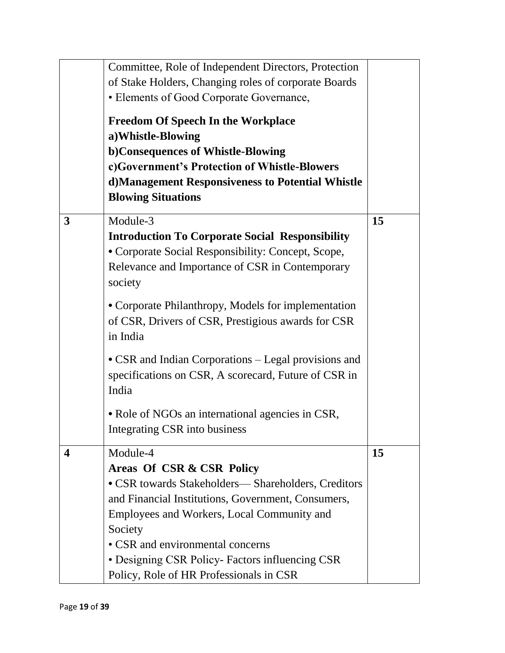|                  | Committee, Role of Independent Directors, Protection<br>of Stake Holders, Changing roles of corporate Boards                                                                                                                                       |    |
|------------------|----------------------------------------------------------------------------------------------------------------------------------------------------------------------------------------------------------------------------------------------------|----|
|                  | • Elements of Good Corporate Governance,                                                                                                                                                                                                           |    |
| 3                | <b>Freedom Of Speech In the Workplace</b><br>a) Whistle-Blowing<br>b)Consequences of Whistle-Blowing<br>c)Government's Protection of Whistle-Blowers<br>d) Management Responsiveness to Potential Whistle<br><b>Blowing Situations</b><br>Module-3 | 15 |
|                  | <b>Introduction To Corporate Social Responsibility</b><br>• Corporate Social Responsibility: Concept, Scope,<br>Relevance and Importance of CSR in Contemporary<br>society                                                                         |    |
|                  | • Corporate Philanthropy, Models for implementation<br>of CSR, Drivers of CSR, Prestigious awards for CSR<br>in India                                                                                                                              |    |
|                  | • CSR and Indian Corporations - Legal provisions and<br>specifications on CSR, A scorecard, Future of CSR in<br>India                                                                                                                              |    |
|                  | • Role of NGOs an international agencies in CSR,<br>Integrating CSR into business                                                                                                                                                                  |    |
| $\boldsymbol{4}$ | Module-4<br>Areas Of CSR & CSR Policy<br>• CSR towards Stakeholders— Shareholders, Creditors<br>and Financial Institutions, Government, Consumers,<br>Employees and Workers, Local Community and<br>Society                                        | 15 |
|                  | • CSR and environmental concerns<br>• Designing CSR Policy- Factors influencing CSR<br>Policy, Role of HR Professionals in CSR                                                                                                                     |    |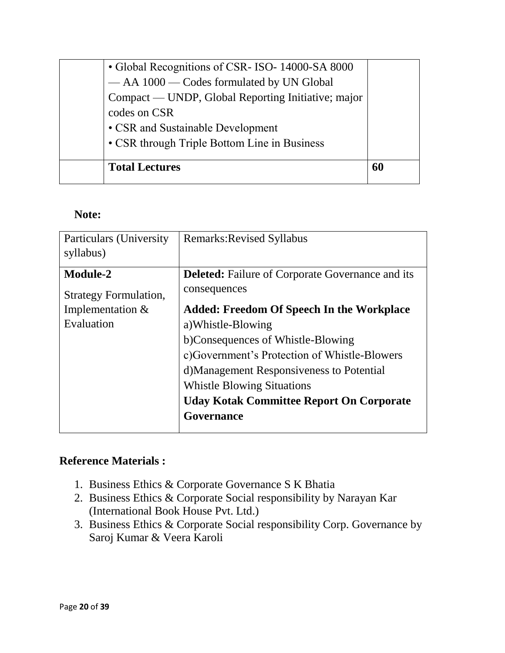| <b>Total Lectures</b>                              | 60 |
|----------------------------------------------------|----|
| • CSR through Triple Bottom Line in Business       |    |
| • CSR and Sustainable Development                  |    |
| codes on CSR                                       |    |
| Compact — UNDP, Global Reporting Initiative; major |    |
| - AA 1000 - Codes formulated by UN Global          |    |
| • Global Recognitions of CSR- ISO- 14000-SA 8000   |    |

#### **Note:**

| Particulars (University)<br>syllabus)    | <b>Remarks: Revised Syllabus</b>                                                          |
|------------------------------------------|-------------------------------------------------------------------------------------------|
| Module-2<br><b>Strategy Formulation,</b> | <b>Deleted:</b> Failure of Corporate Governance and its<br>consequences                   |
| Implementation $&$<br>Evaluation         | <b>Added: Freedom Of Speech In the Workplace</b><br>a)Whistle-Blowing                     |
|                                          | b)Consequences of Whistle-Blowing                                                         |
|                                          | c)Government's Protection of Whistle-Blowers<br>d) Management Responsiveness to Potential |
|                                          | <b>Whistle Blowing Situations</b><br><b>Uday Kotak Committee Report On Corporate</b>      |
|                                          | Governance                                                                                |

#### **Reference Materials :**

- 1. Business Ethics & Corporate Governance S K Bhatia
- 2. Business Ethics & Corporate Social responsibility by Narayan Kar (International Book House Pvt. Ltd.)
- 3. Business Ethics & Corporate Social responsibility Corp. Governance by Saroj Kumar & Veera Karoli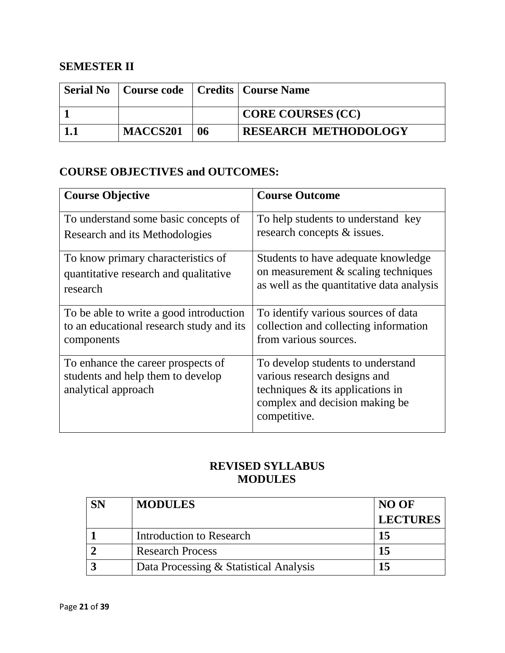### **SEMESTER II**

| <b>Serial No</b>   Course code   Credits   Course Name |    |                             |
|--------------------------------------------------------|----|-----------------------------|
|                                                        |    | CORE COURSES (CC)           |
| MACCS201                                               | 06 | <b>RESEARCH METHODOLOGY</b> |

#### **COURSE OBJECTIVES and OUTCOMES:**

| <b>Course Objective</b>                                                                        | <b>Course Outcome</b>                                                                                                                                      |
|------------------------------------------------------------------------------------------------|------------------------------------------------------------------------------------------------------------------------------------------------------------|
| To understand some basic concepts of                                                           | To help students to understand key                                                                                                                         |
| Research and its Methodologies                                                                 | research concepts & issues.                                                                                                                                |
| To know primary characteristics of                                                             | Students to have adequate knowledge                                                                                                                        |
| quantitative research and qualitative                                                          | on measurement $&$ scaling techniques                                                                                                                      |
| research                                                                                       | as well as the quantitative data analysis                                                                                                                  |
| To be able to write a good introduction                                                        | To identify various sources of data                                                                                                                        |
| to an educational research study and its                                                       | collection and collecting information                                                                                                                      |
| components                                                                                     | from various sources.                                                                                                                                      |
| To enhance the career prospects of<br>students and help them to develop<br>analytical approach | To develop students to understand<br>various research designs and<br>techniques $\&$ its applications in<br>complex and decision making be<br>competitive. |

| <b>SN</b> | <b>MODULES</b>                         | <b>NO OF</b>    |
|-----------|----------------------------------------|-----------------|
|           |                                        | <b>LECTURES</b> |
|           | Introduction to Research               | 15              |
|           | <b>Research Process</b>                | 15              |
|           | Data Processing & Statistical Analysis | 15              |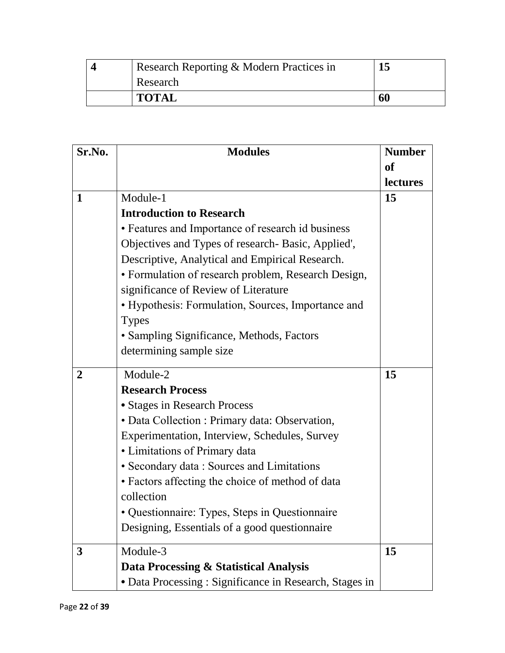| Research Reporting & Modern Practices in |    |
|------------------------------------------|----|
| Research                                 |    |
| <b>TOTAL</b>                             | 60 |

| Sr.No.         | <b>Modules</b>                                         |           |  |
|----------------|--------------------------------------------------------|-----------|--|
|                |                                                        | <b>of</b> |  |
|                |                                                        | lectures  |  |
| 1              | Module-1                                               | 15        |  |
|                | <b>Introduction to Research</b>                        |           |  |
|                | • Features and Importance of research id business      |           |  |
|                | Objectives and Types of research-Basic, Applied',      |           |  |
|                | Descriptive, Analytical and Empirical Research.        |           |  |
|                | • Formulation of research problem, Research Design,    |           |  |
|                | significance of Review of Literature                   |           |  |
|                | • Hypothesis: Formulation, Sources, Importance and     |           |  |
|                | <b>Types</b>                                           |           |  |
|                | • Sampling Significance, Methods, Factors              |           |  |
|                | determining sample size                                |           |  |
| $\overline{2}$ | Module-2                                               | 15        |  |
|                | <b>Research Process</b>                                |           |  |
|                | • Stages in Research Process                           |           |  |
|                | · Data Collection : Primary data: Observation,         |           |  |
|                | Experimentation, Interview, Schedules, Survey          |           |  |
|                | • Limitations of Primary data                          |           |  |
|                | • Secondary data: Sources and Limitations              |           |  |
|                | • Factors affecting the choice of method of data       |           |  |
|                | collection                                             |           |  |
|                | · Questionnaire: Types, Steps in Questionnaire         |           |  |
|                | Designing, Essentials of a good questionnaire          |           |  |
| $\mathbf{3}$   | Module-3                                               | 15        |  |
|                | Data Processing & Statistical Analysis                 |           |  |
|                | • Data Processing: Significance in Research, Stages in |           |  |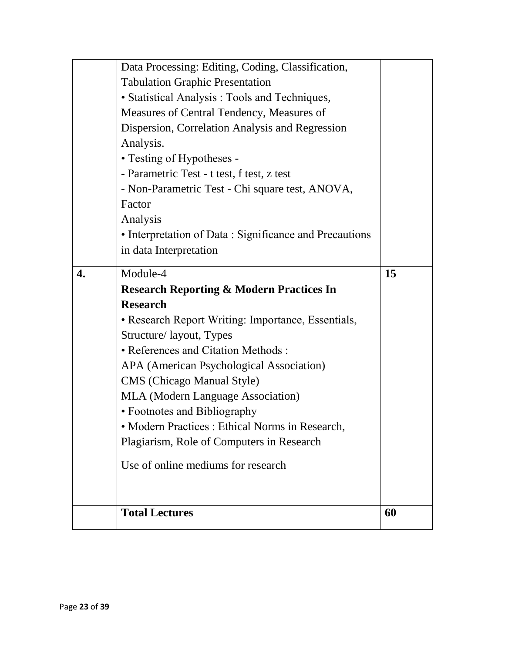|    | Data Processing: Editing, Coding, Classification,      |    |
|----|--------------------------------------------------------|----|
|    | <b>Tabulation Graphic Presentation</b>                 |    |
|    | • Statistical Analysis: Tools and Techniques,          |    |
|    | Measures of Central Tendency, Measures of              |    |
|    | Dispersion, Correlation Analysis and Regression        |    |
|    | Analysis.                                              |    |
|    | • Testing of Hypotheses -                              |    |
|    | - Parametric Test - t test, f test, z test             |    |
|    | - Non-Parametric Test - Chi square test, ANOVA,        |    |
|    | Factor                                                 |    |
|    | Analysis                                               |    |
|    | • Interpretation of Data: Significance and Precautions |    |
|    | in data Interpretation                                 |    |
| 4. | Module-4                                               | 15 |
|    | <b>Research Reporting &amp; Modern Practices In</b>    |    |
|    | <b>Research</b>                                        |    |
|    | • Research Report Writing: Importance, Essentials,     |    |
|    | Structure/ layout, Types                               |    |
|    | • References and Citation Methods :                    |    |
|    | APA (American Psychological Association)               |    |
|    | <b>CMS</b> (Chicago Manual Style)                      |    |
|    | MLA (Modern Language Association)                      |    |
|    | • Footnotes and Bibliography                           |    |
|    | • Modern Practices : Ethical Norms in Research,        |    |
|    | Plagiarism, Role of Computers in Research              |    |
|    | Use of online mediums for research                     |    |
|    |                                                        |    |
|    | <b>Total Lectures</b>                                  | 60 |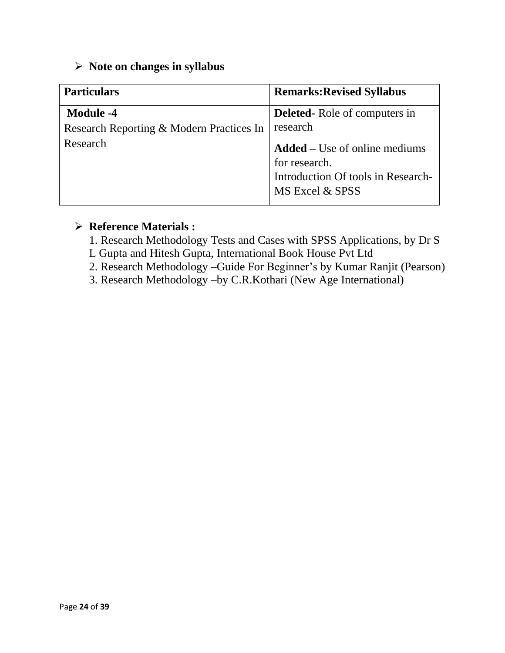### ➢ **Note on changes in syllabus**

| <b>Particulars</b>                       | <b>Remarks: Revised Syllabus</b>                                                                               |
|------------------------------------------|----------------------------------------------------------------------------------------------------------------|
| <b>Module -4</b>                         | <b>Deleted-</b> Role of computers in                                                                           |
| Research Reporting & Modern Practices In | research                                                                                                       |
| Research                                 | <b>Added</b> – Use of online mediums<br>for research.<br>Introduction Of tools in Research-<br>MS Excel & SPSS |

#### ➢ **Reference Materials :**

- 1. Research Methodology Tests and Cases with SPSS Applications, by Dr S
- L Gupta and Hitesh Gupta, International Book House Pvt Ltd
- 2. Research Methodology –Guide For Beginner's by Kumar Ranjit (Pearson)
- 3. Research Methodology –by C.R.Kothari (New Age International)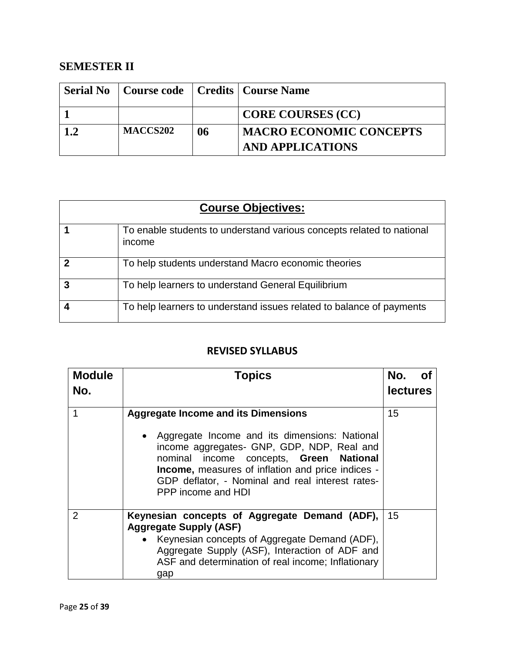## **SEMESTER II**

|     |          |    | <b>Serial No</b>   Course code   Credits   Course Name    |
|-----|----------|----|-----------------------------------------------------------|
|     |          |    | <b>CORE COURSES (CC)</b>                                  |
| 1.2 | MACCS202 | 06 | <b>MACRO ECONOMIC CONCEPTS</b><br><b>AND APPLICATIONS</b> |

|                         | <b>Course Objectives:</b>                                                       |  |  |
|-------------------------|---------------------------------------------------------------------------------|--|--|
|                         | To enable students to understand various concepts related to national<br>income |  |  |
| $\boldsymbol{2}$        | To help students understand Macro economic theories                             |  |  |
| 3                       | To help learners to understand General Equilibrium                              |  |  |
| $\overline{\mathbf{4}}$ | To help learners to understand issues related to balance of payments            |  |  |

#### **REVISED SYLLABUS**

| <b>Module</b><br>No. | <b>Topics</b>                                                                                                                                                                                                                                                                                                                | No.<br><b>lectures</b> |
|----------------------|------------------------------------------------------------------------------------------------------------------------------------------------------------------------------------------------------------------------------------------------------------------------------------------------------------------------------|------------------------|
|                      | <b>Aggregate Income and its Dimensions</b><br>• Aggregate Income and its dimensions: National<br>income aggregates- GNP, GDP, NDP, Real and<br>nominal income concepts, Green National<br><b>Income, measures of inflation and price indices -</b><br>GDP deflator, - Nominal and real interest rates-<br>PPP income and HDI | 15                     |
| $\overline{2}$       | Keynesian concepts of Aggregate Demand (ADF),<br><b>Aggregate Supply (ASF)</b><br>Keynesian concepts of Aggregate Demand (ADF),<br>Aggregate Supply (ASF), Interaction of ADF and<br>ASF and determination of real income; Inflationary<br>gap                                                                               | 15                     |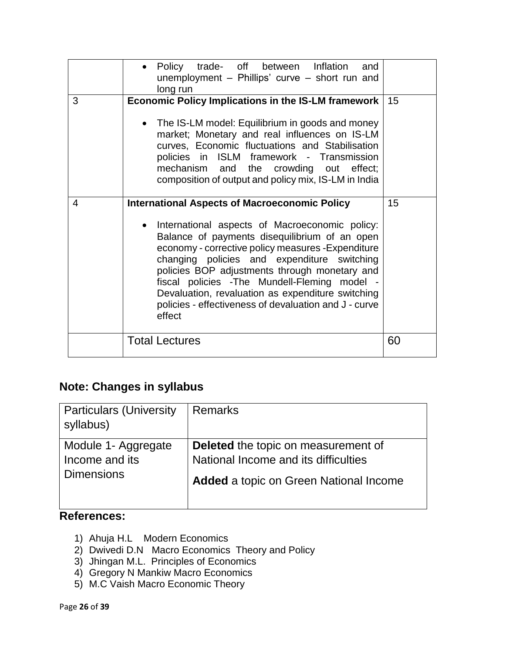|   | Policy trade- off between Inflation<br>and<br>unemployment - Phillips' curve - short run and<br>long run                                                                                                                                                                                                                                                                                                                                                                               |    |
|---|----------------------------------------------------------------------------------------------------------------------------------------------------------------------------------------------------------------------------------------------------------------------------------------------------------------------------------------------------------------------------------------------------------------------------------------------------------------------------------------|----|
| 3 | Economic Policy Implications in the IS-LM framework<br>The IS-LM model: Equilibrium in goods and money<br>$\bullet$<br>market; Monetary and real influences on IS-LM<br>curves, Economic fluctuations and Stabilisation<br>policies in ISLM framework - Transmission<br>mechanism and the crowding out effect;<br>composition of output and policy mix, IS-LM in India                                                                                                                 | 15 |
| 4 | <b>International Aspects of Macroeconomic Policy</b><br>International aspects of Macroeconomic policy:<br>Balance of payments disequilibrium of an open<br>economy - corrective policy measures - Expenditure<br>changing policies and expenditure switching<br>policies BOP adjustments through monetary and<br>fiscal policies - The Mundell-Fleming model -<br>Devaluation, revaluation as expenditure switching<br>policies - effectiveness of devaluation and J - curve<br>effect | 15 |
|   | <b>Total Lectures</b>                                                                                                                                                                                                                                                                                                                                                                                                                                                                  | 60 |

# **Note: Changes in syllabus**

| <b>Particulars (University)</b><br>syllabus) | <b>Remarks</b>                                |
|----------------------------------------------|-----------------------------------------------|
| Module 1- Aggregate                          | Deleted the topic on measurement of           |
| Income and its                               | National Income and its difficulties          |
| <b>Dimensions</b>                            | <b>Added</b> a topic on Green National Income |

## **References:**

- 1) Ahuja H.L Modern Economics
- 2) Dwivedi D.N Macro Economics Theory and Policy
- 3) Jhingan M.L. Principles of Economics
- 4) Gregory N Mankiw Macro Economics
- 5) M.C Vaish Macro Economic Theory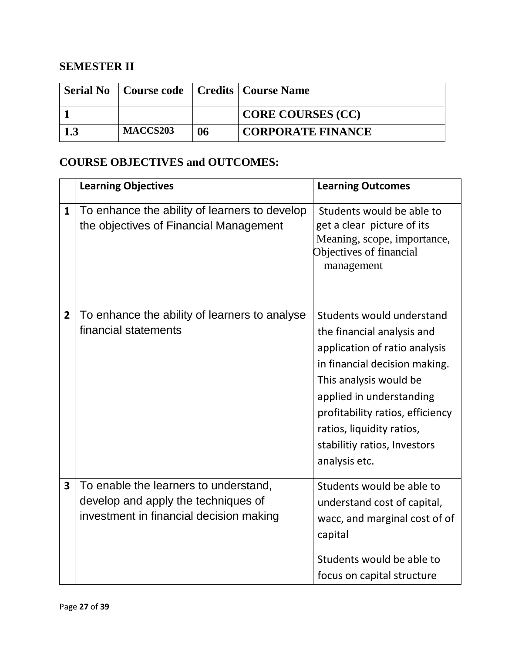## **SEMESTER II**

| <b>Serial No</b> |          |    | Course code   Credits   Course Name |
|------------------|----------|----|-------------------------------------|
|                  |          |    | <b>CORE COURSES (CC)</b>            |
|                  | MACCS203 | 06 | <b>CORPORATE FINANCE</b>            |

## **COURSE OBJECTIVES and OUTCOMES:**

|                | <b>Learning Objectives</b>                                                                                              | <b>Learning Outcomes</b>                                                                                                                                                                                                                                                                          |
|----------------|-------------------------------------------------------------------------------------------------------------------------|---------------------------------------------------------------------------------------------------------------------------------------------------------------------------------------------------------------------------------------------------------------------------------------------------|
| $\mathbf{1}$   | To enhance the ability of learners to develop<br>the objectives of Financial Management                                 | Students would be able to<br>get a clear picture of its<br>Meaning, scope, importance,<br>Objectives of financial<br>management                                                                                                                                                                   |
| $\overline{2}$ | To enhance the ability of learners to analyse<br>financial statements                                                   | Students would understand<br>the financial analysis and<br>application of ratio analysis<br>in financial decision making.<br>This analysis would be<br>applied in understanding<br>profitability ratios, efficiency<br>ratios, liquidity ratios,<br>stabilitiy ratios, Investors<br>analysis etc. |
| 3              | To enable the learners to understand,<br>develop and apply the techniques of<br>investment in financial decision making | Students would be able to<br>understand cost of capital,<br>wacc, and marginal cost of of<br>capital<br>Students would be able to<br>focus on capital structure                                                                                                                                   |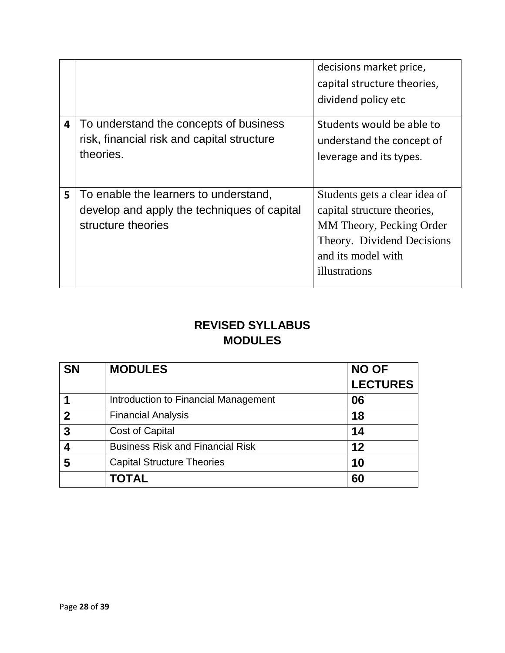|   |                                                                                                            | decisions market price,<br>capital structure theories,<br>dividend policy etc                                                                                 |
|---|------------------------------------------------------------------------------------------------------------|---------------------------------------------------------------------------------------------------------------------------------------------------------------|
| 4 | To understand the concepts of business<br>risk, financial risk and capital structure<br>theories.          | Students would be able to<br>understand the concept of<br>leverage and its types.                                                                             |
| 5 | To enable the learners to understand,<br>develop and apply the techniques of capital<br>structure theories | Students gets a clear idea of<br>capital structure theories,<br>MM Theory, Pecking Order<br>Theory. Dividend Decisions<br>and its model with<br>illustrations |

| <b>SN</b>   | <b>MODULES</b>                          | <b>NO OF</b><br><b>LECTURES</b> |
|-------------|-----------------------------------------|---------------------------------|
|             | Introduction to Financial Management    | 06                              |
| $\mathbf 2$ | <b>Financial Analysis</b>               | 18                              |
| 3           | <b>Cost of Capital</b>                  | 14                              |
|             | <b>Business Risk and Financial Risk</b> | 12                              |
| 5           | <b>Capital Structure Theories</b>       | 10                              |
|             | <b>TOTAL</b>                            | 60                              |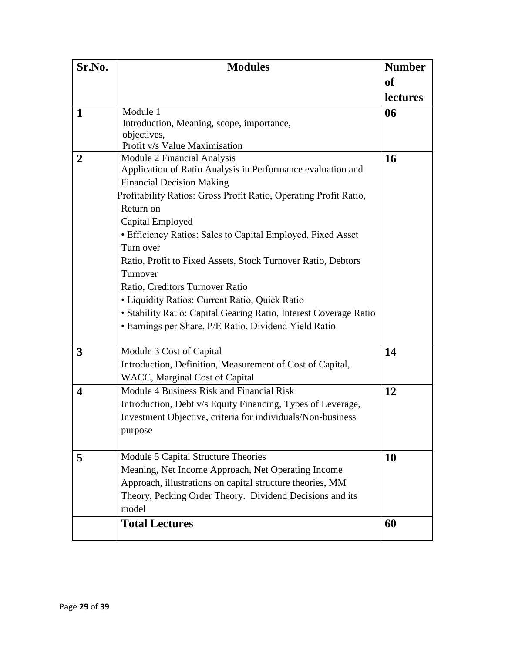| Sr.No.           | <b>Modules</b>                                                    | <b>Number</b>   |
|------------------|-------------------------------------------------------------------|-----------------|
|                  |                                                                   | <b>of</b>       |
|                  |                                                                   | <b>lectures</b> |
| $\mathbf 1$      | Module 1                                                          | 06              |
|                  | Introduction, Meaning, scope, importance,                         |                 |
|                  | objectives,                                                       |                 |
|                  | Profit v/s Value Maximisation                                     |                 |
| $\overline{2}$   | Module 2 Financial Analysis                                       | <b>16</b>       |
|                  | Application of Ratio Analysis in Performance evaluation and       |                 |
|                  | <b>Financial Decision Making</b>                                  |                 |
|                  | Profitability Ratios: Gross Profit Ratio, Operating Profit Ratio, |                 |
|                  | Return on                                                         |                 |
|                  | Capital Employed                                                  |                 |
|                  | • Efficiency Ratios: Sales to Capital Employed, Fixed Asset       |                 |
|                  | Turn over                                                         |                 |
|                  | Ratio, Profit to Fixed Assets, Stock Turnover Ratio, Debtors      |                 |
|                  | Turnover                                                          |                 |
|                  | Ratio, Creditors Turnover Ratio                                   |                 |
|                  | • Liquidity Ratios: Current Ratio, Quick Ratio                    |                 |
|                  | • Stability Ratio: Capital Gearing Ratio, Interest Coverage Ratio |                 |
|                  | • Earnings per Share, P/E Ratio, Dividend Yield Ratio             |                 |
| $\mathbf{3}$     | Module 3 Cost of Capital                                          | 14              |
|                  | Introduction, Definition, Measurement of Cost of Capital,         |                 |
|                  | WACC, Marginal Cost of Capital                                    |                 |
| $\boldsymbol{4}$ | Module 4 Business Risk and Financial Risk                         | 12              |
|                  | Introduction, Debt v/s Equity Financing, Types of Leverage,       |                 |
|                  | Investment Objective, criteria for individuals/Non-business       |                 |
|                  | purpose                                                           |                 |
|                  |                                                                   |                 |
| 5                | Module 5 Capital Structure Theories                               | <b>10</b>       |
|                  | Meaning, Net Income Approach, Net Operating Income                |                 |
|                  | Approach, illustrations on capital structure theories, MM         |                 |
|                  | Theory, Pecking Order Theory. Dividend Decisions and its          |                 |
|                  | model                                                             |                 |
|                  | <b>Total Lectures</b>                                             | 60              |
|                  |                                                                   |                 |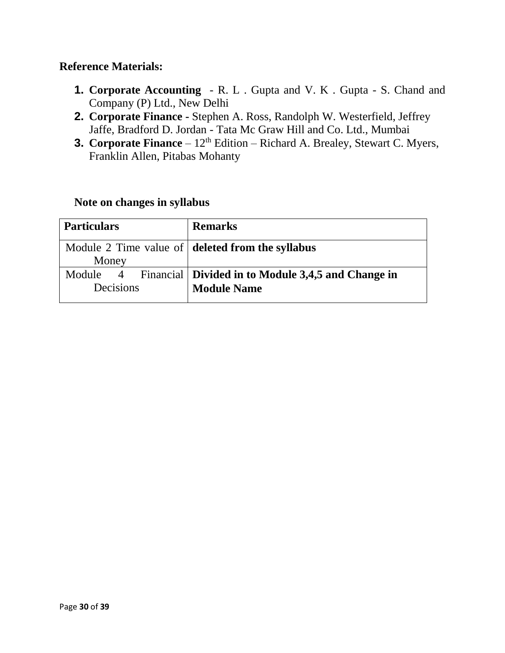#### **Reference Materials:**

- **1. Corporate Accounting**  R. L . Gupta and V. K . Gupta S. Chand and Company (P) Ltd., New Delhi
- **2. Corporate Finance -** Stephen A. Ross, Randolph W. Westerfield, Jeffrey Jaffe, Bradford D. Jordan - Tata Mc Graw Hill and Co. Ltd., Mumbai
- **3. Corporate Finance** 12<sup>th</sup> Edition Richard A. Brealey, Stewart C. Myers, Franklin Allen, Pitabas Mohanty

#### **Note on changes in syllabus**

| <b>Particulars</b>       | <b>Remarks</b>                                                         |
|--------------------------|------------------------------------------------------------------------|
|                          | Module 2 Time value of deleted from the syllabus                       |
| Money                    |                                                                        |
| Module<br>$\overline{4}$ | <b>Example 15 Financial   Divided in to Module 3,4,5 and Change in</b> |
| Decisions                | <b>Module Name</b>                                                     |
|                          |                                                                        |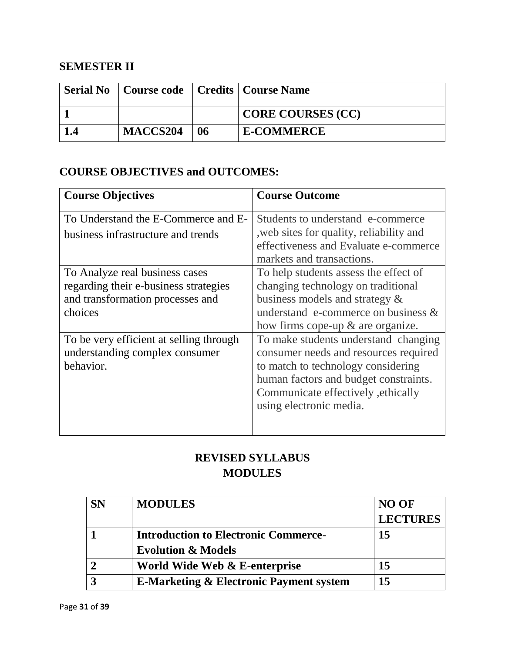### **SEMESTER II**

|                 |    | <b>Serial No</b>   Course code   Credits   Course Name |
|-----------------|----|--------------------------------------------------------|
|                 |    | CORE COURSES (CC)                                      |
| <b>MACCS204</b> | 06 | <b>E-COMMERCE</b>                                      |

## **COURSE OBJECTIVES and OUTCOMES:**

| <b>Course Objectives</b>                                                                                               | <b>Course Outcome</b>                                                                                                                                                                                                         |
|------------------------------------------------------------------------------------------------------------------------|-------------------------------------------------------------------------------------------------------------------------------------------------------------------------------------------------------------------------------|
| To Understand the E-Commerce and E-<br>business infrastructure and trends                                              | Students to understand e-commerce<br>, web sites for quality, reliability and<br>effectiveness and Evaluate e-commerce<br>markets and transactions.                                                                           |
| To Analyze real business cases<br>regarding their e-business strategies<br>and transformation processes and<br>choices | To help students assess the effect of<br>changing technology on traditional<br>business models and strategy &<br>understand e-commerce on business $\&$<br>how firms cope-up & are organize.                                  |
| To be very efficient at selling through<br>understanding complex consumer<br>behavior.                                 | To make students understand changing<br>consumer needs and resources required<br>to match to technology considering<br>human factors and budget constraints.<br>Communicate effectively, ethically<br>using electronic media. |

| <b>SN</b> | <b>MODULES</b>                                     | <b>NO OF</b>    |
|-----------|----------------------------------------------------|-----------------|
|           |                                                    | <b>LECTURES</b> |
|           | <b>Introduction to Electronic Commerce-</b>        | 15              |
|           | <b>Evolution &amp; Models</b>                      |                 |
|           | World Wide Web & E-enterprise                      | 15              |
|           | <b>E-Marketing &amp; Electronic Payment system</b> | 15              |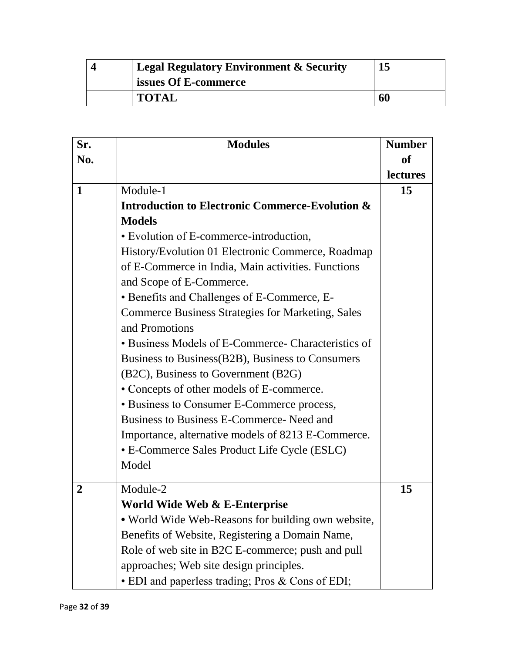| <b>Legal Regulatory Environment &amp; Security</b> | 15 |
|----------------------------------------------------|----|
| <b>issues Of E-commerce</b>                        |    |
| <b>TOTAL</b>                                       | 60 |

| Sr.              | <b>Modules</b>                                             |                 |
|------------------|------------------------------------------------------------|-----------------|
| No.              |                                                            | of              |
|                  |                                                            | <b>lectures</b> |
| 1                | Module-1                                                   | 15              |
|                  | <b>Introduction to Electronic Commerce-Evolution &amp;</b> |                 |
|                  | <b>Models</b>                                              |                 |
|                  | • Evolution of E-commerce-introduction,                    |                 |
|                  | History/Evolution 01 Electronic Commerce, Roadmap          |                 |
|                  | of E-Commerce in India, Main activities. Functions         |                 |
|                  | and Scope of E-Commerce.                                   |                 |
|                  | • Benefits and Challenges of E-Commerce, E-                |                 |
|                  | <b>Commerce Business Strategies for Marketing, Sales</b>   |                 |
|                  | and Promotions                                             |                 |
|                  | • Business Models of E-Commerce- Characteristics of        |                 |
|                  | Business to Business (B2B), Business to Consumers          |                 |
|                  | (B2C), Business to Government (B2G)                        |                 |
|                  | • Concepts of other models of E-commerce.                  |                 |
|                  | • Business to Consumer E-Commerce process,                 |                 |
|                  | Business to Business E-Commerce- Need and                  |                 |
|                  | Importance, alternative models of 8213 E-Commerce.         |                 |
|                  | • E-Commerce Sales Product Life Cycle (ESLC)               |                 |
|                  | Model                                                      |                 |
| $\boldsymbol{2}$ | Module-2                                                   | 15              |
|                  | World Wide Web & E-Enterprise                              |                 |
|                  | • World Wide Web-Reasons for building own website,         |                 |
|                  | Benefits of Website, Registering a Domain Name,            |                 |
|                  | Role of web site in B2C E-commerce; push and pull          |                 |
|                  | approaches; Web site design principles.                    |                 |
|                  | • EDI and paperless trading; Pros & Cons of EDI;           |                 |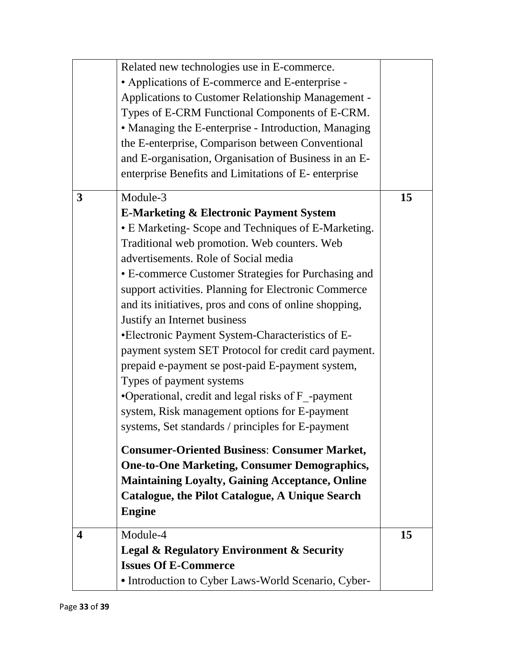|                  | Related new technologies use in E-commerce.              |    |
|------------------|----------------------------------------------------------|----|
|                  | • Applications of E-commerce and E-enterprise -          |    |
|                  | Applications to Customer Relationship Management -       |    |
|                  | Types of E-CRM Functional Components of E-CRM.           |    |
|                  | • Managing the E-enterprise - Introduction, Managing     |    |
|                  | the E-enterprise, Comparison between Conventional        |    |
|                  | and E-organisation, Organisation of Business in an E-    |    |
|                  | enterprise Benefits and Limitations of E-enterprise      |    |
| 3                | Module-3                                                 | 15 |
|                  | <b>E-Marketing &amp; Electronic Payment System</b>       |    |
|                  | • E Marketing- Scope and Techniques of E-Marketing.      |    |
|                  | Traditional web promotion. Web counters. Web             |    |
|                  | advertisements. Role of Social media                     |    |
|                  | • E-commerce Customer Strategies for Purchasing and      |    |
|                  | support activities. Planning for Electronic Commerce     |    |
|                  | and its initiatives, pros and cons of online shopping,   |    |
|                  | Justify an Internet business                             |    |
|                  | •Electronic Payment System-Characteristics of E-         |    |
|                  | payment system SET Protocol for credit card payment.     |    |
|                  | prepaid e-payment se post-paid E-payment system,         |    |
|                  | Types of payment systems                                 |    |
|                  | •Operational, credit and legal risks of F -payment       |    |
|                  | system, Risk management options for E-payment            |    |
|                  | systems, Set standards / principles for E-payment        |    |
|                  | <b>Consumer-Oriented Business: Consumer Market,</b>      |    |
|                  | <b>One-to-One Marketing, Consumer Demographics,</b>      |    |
|                  | <b>Maintaining Loyalty, Gaining Acceptance, Online</b>   |    |
|                  | <b>Catalogue, the Pilot Catalogue, A Unique Search</b>   |    |
|                  | <b>Engine</b>                                            |    |
| $\boldsymbol{4}$ | Module-4                                                 | 15 |
|                  | <b>Legal &amp; Regulatory Environment &amp; Security</b> |    |
|                  | <b>Issues Of E-Commerce</b>                              |    |
|                  | • Introduction to Cyber Laws-World Scenario, Cyber-      |    |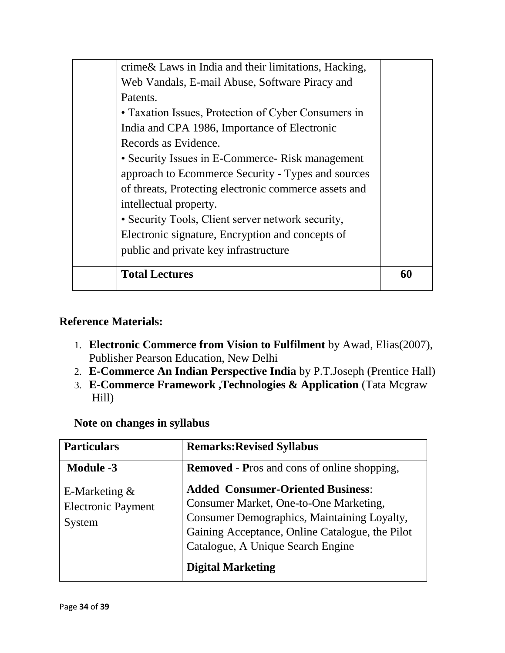|          | crime & Laws in India and their limitations, Hacking, |    |
|----------|-------------------------------------------------------|----|
|          | Web Vandals, E-mail Abuse, Software Piracy and        |    |
| Patents. |                                                       |    |
|          | • Taxation Issues, Protection of Cyber Consumers in   |    |
|          | India and CPA 1986, Importance of Electronic          |    |
|          | Records as Evidence.                                  |    |
|          | • Security Issues in E-Commerce- Risk management      |    |
|          | approach to Ecommerce Security - Types and sources    |    |
|          | of threats, Protecting electronic commerce assets and |    |
|          | intellectual property.                                |    |
|          | • Security Tools, Client server network security,     |    |
|          | Electronic signature, Encryption and concepts of      |    |
|          | public and private key infrastructure                 |    |
|          | <b>Total Lectures</b>                                 | 60 |
|          |                                                       |    |

#### **Reference Materials:**

- 1. **Electronic Commerce from Vision to Fulfilment** by Awad, Elias(2007), Publisher Pearson Education, New Delhi
- 2. **E-Commerce An Indian Perspective India** by P.T.Joseph (Prentice Hall)
- 3. **E-Commerce Framework ,Technologies & Application** (Tata Mcgraw Hill)

#### **Note on changes in syllabus**

| <b>Particulars</b>                                     | <b>Remarks: Revised Syllabus</b>                                                                                                                                                                                                                      |  |
|--------------------------------------------------------|-------------------------------------------------------------------------------------------------------------------------------------------------------------------------------------------------------------------------------------------------------|--|
| <b>Module -3</b>                                       | <b>Removed - Pros and cons of online shopping,</b>                                                                                                                                                                                                    |  |
| E-Marketing $&$<br><b>Electronic Payment</b><br>System | <b>Added Consumer-Oriented Business:</b><br>Consumer Market, One-to-One Marketing,<br>Consumer Demographics, Maintaining Loyalty,<br>Gaining Acceptance, Online Catalogue, the Pilot<br>Catalogue, A Unique Search Engine<br><b>Digital Marketing</b> |  |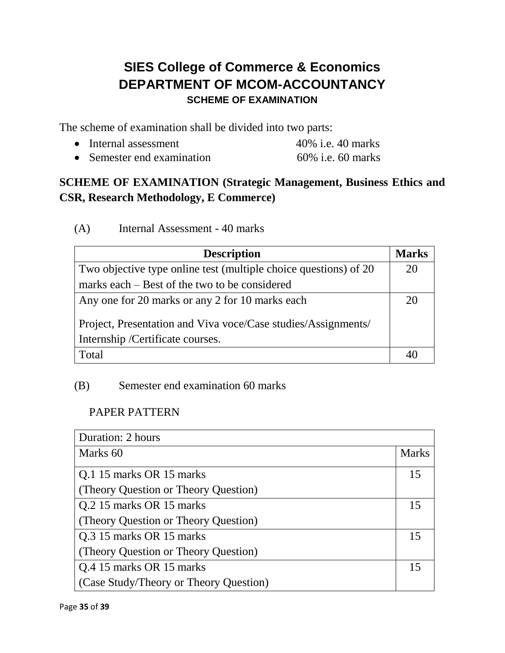# **SIES College of Commerce & Economics DEPARTMENT OF MCOM-ACCOUNTANCY SCHEME OF EXAMINATION**

The scheme of examination shall be divided into two parts:

- Internal assessment 40% i.e. 40 marks
- Semester end examination 60% i.e. 60 marks

## **SCHEME OF EXAMINATION (Strategic Management, Business Ethics and CSR, Research Methodology, E Commerce)**

| <b>Description</b>                                                                                 | <b>Marks</b> |
|----------------------------------------------------------------------------------------------------|--------------|
| Two objective type online test (multiple choice questions) of 20                                   | 20           |
| marks each – Best of the two to be considered                                                      |              |
| Any one for 20 marks or any 2 for 10 marks each                                                    | 20           |
| Project, Presentation and Viva voce/Case studies/Assignments/<br>Internship / Certificate courses. |              |
| Total                                                                                              |              |

#### (B) Semester end examination 60 marks

#### PAPER PATTERN

| Duration: 2 hours                      |              |  |
|----------------------------------------|--------------|--|
| Marks 60                               | <b>Marks</b> |  |
| Q.1 15 marks OR 15 marks               | 15           |  |
| (Theory Question or Theory Question)   |              |  |
| Q.2 15 marks OR 15 marks               | 15           |  |
| (Theory Question or Theory Question)   |              |  |
| Q.3 15 marks OR 15 marks               | 15           |  |
| (Theory Question or Theory Question)   |              |  |
| Q.4 15 marks OR 15 marks               | 15           |  |
| (Case Study/Theory or Theory Question) |              |  |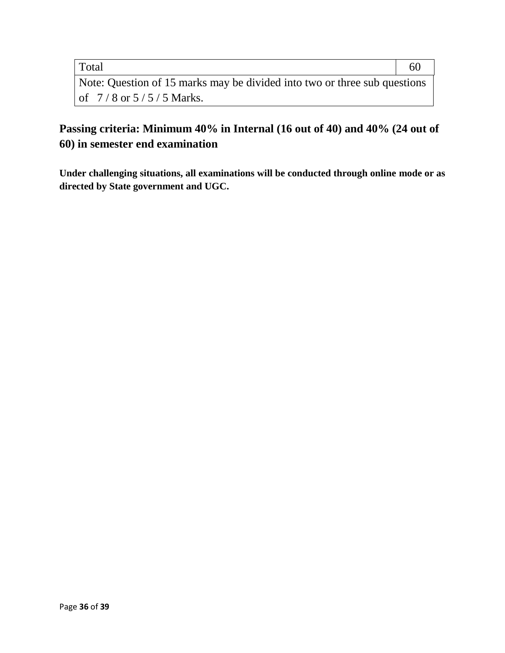| Total                                                                     | 60 |
|---------------------------------------------------------------------------|----|
| Note: Question of 15 marks may be divided into two or three sub questions |    |
| of $7/8$ or $5/5/5$ Marks.                                                |    |

## **Passing criteria: Minimum 40% in Internal (16 out of 40) and 40% (24 out of 60) in semester end examination**

**Under challenging situations, all examinations will be conducted through online mode or as directed by State government and UGC.**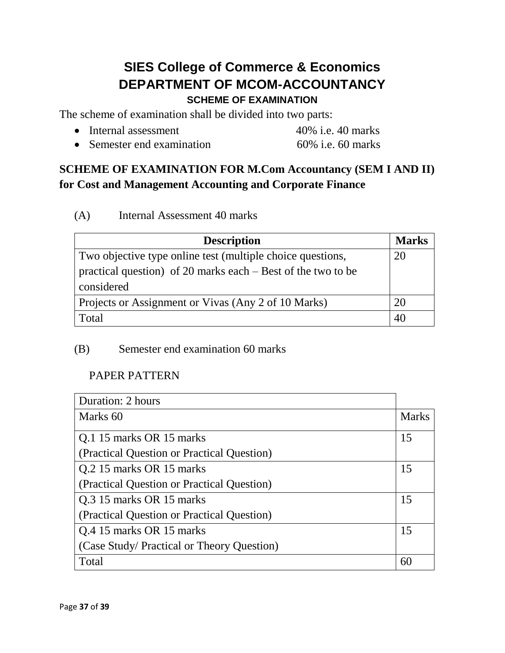# **SIES College of Commerce & Economics DEPARTMENT OF MCOM-ACCOUNTANCY SCHEME OF EXAMINATION**

The scheme of examination shall be divided into two parts:

- Internal assessment 40% i.e. 40 marks
- Semester end examination 60% i.e. 60 marks

## **SCHEME OF EXAMINATION FOR M.Com Accountancy (SEM I AND II) for Cost and Management Accounting and Corporate Finance**

(A) Internal Assessment 40 marks

| <b>Description</b>                                                           | <b>Marks</b> |
|------------------------------------------------------------------------------|--------------|
| Two objective type online test (multiple choice questions,                   | 20           |
| practical question) of 20 marks each $-$ Best of the two to be<br>considered |              |
| Projects or Assignment or Vivas (Any 2 of 10 Marks)                          | 20           |
| Total                                                                        |              |

#### (B) Semester end examination 60 marks

#### PAPER PATTERN

| Duration: 2 hours                          |              |
|--------------------------------------------|--------------|
| Marks 60                                   | <b>Marks</b> |
| Q.1 15 marks OR 15 marks                   | 15           |
| (Practical Question or Practical Question) |              |
| Q.2 15 marks OR 15 marks                   | 15           |
| (Practical Question or Practical Question) |              |
| Q.3 15 marks OR 15 marks                   | 15           |
| (Practical Question or Practical Question) |              |
| Q.4 15 marks OR 15 marks                   | 15           |
| (Case Study/ Practical or Theory Question) |              |
| Total                                      | 60           |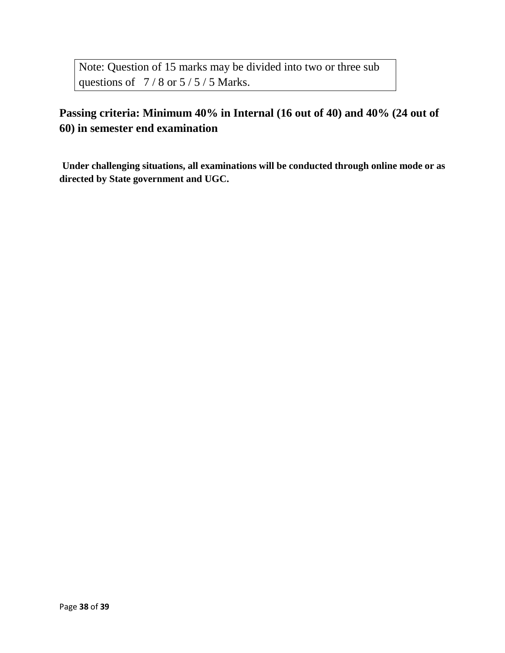Note: Question of 15 marks may be divided into two or three sub questions of  $7/8$  or  $5/5/5$  Marks.

## **Passing criteria: Minimum 40% in Internal (16 out of 40) and 40% (24 out of 60) in semester end examination**

**Under challenging situations, all examinations will be conducted through online mode or as directed by State government and UGC.**